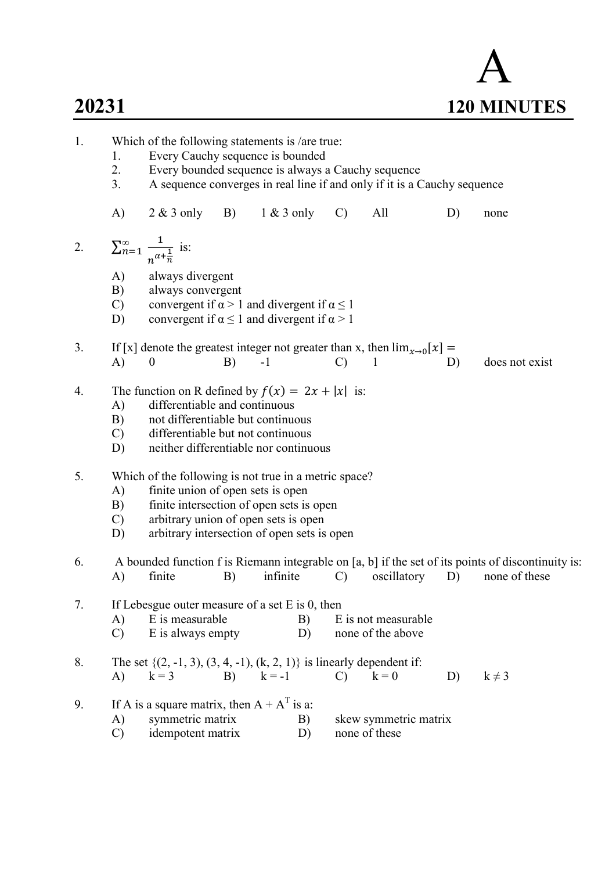## 20231

| 20231 | <b>120 MINUTES</b> |
|-------|--------------------|

| 1.                                                                                        |                                   | Which of the following statements is /are true:                                                                                                                                                        |    |          |          |               |                                          |    |                                                                                                    |  |  |
|-------------------------------------------------------------------------------------------|-----------------------------------|--------------------------------------------------------------------------------------------------------------------------------------------------------------------------------------------------------|----|----------|----------|---------------|------------------------------------------|----|----------------------------------------------------------------------------------------------------|--|--|
|                                                                                           | 1.                                | Every Cauchy sequence is bounded                                                                                                                                                                       |    |          |          |               |                                          |    |                                                                                                    |  |  |
|                                                                                           | 2.                                | Every bounded sequence is always a Cauchy sequence                                                                                                                                                     |    |          |          |               |                                          |    |                                                                                                    |  |  |
|                                                                                           | 3.                                | A sequence converges in real line if and only if it is a Cauchy sequence                                                                                                                               |    |          |          |               |                                          |    |                                                                                                    |  |  |
|                                                                                           | A)                                | $2 \& 3$ only B) $1 \& 3$ only                                                                                                                                                                         |    |          |          | $\mathcal{C}$ | All                                      | D) | none                                                                                               |  |  |
| 2.                                                                                        |                                   | $\sum_{n=1}^{\infty} \frac{1}{n^{\alpha + \frac{1}{n}}}$ is:                                                                                                                                           |    |          |          |               |                                          |    |                                                                                                    |  |  |
|                                                                                           | A)<br>B)                          | always divergent<br>always convergent                                                                                                                                                                  |    |          |          |               |                                          |    |                                                                                                    |  |  |
|                                                                                           | $\mathbf{C}$ )<br>D)              | convergent if $\alpha > 1$ and divergent if $\alpha \le 1$<br>convergent if $\alpha \le 1$ and divergent if $\alpha > 1$                                                                               |    |          |          |               |                                          |    |                                                                                                    |  |  |
| 3.                                                                                        |                                   | If [x] denote the greatest integer not greater than x, then $\lim_{x\to 0} [x] =$                                                                                                                      |    |          |          |               |                                          |    |                                                                                                    |  |  |
|                                                                                           | A)                                | $\boldsymbol{0}$                                                                                                                                                                                       | B) | $-1$     |          | $\mathcal{C}$ | 1                                        | D) | does not exist                                                                                     |  |  |
| 4.                                                                                        | A)<br>B)<br>$\mathcal{C}$ )<br>D) | The function on R defined by $f(x) = 2x +  x $ is:<br>differentiable and continuous<br>not differentiable but continuous<br>differentiable but not continuous<br>neither differentiable nor continuous |    |          |          |               |                                          |    |                                                                                                    |  |  |
| 5.                                                                                        |                                   | Which of the following is not true in a metric space?                                                                                                                                                  |    |          |          |               |                                          |    |                                                                                                    |  |  |
|                                                                                           | A)<br>B)                          | finite union of open sets is open<br>finite intersection of open sets is open                                                                                                                          |    |          |          |               |                                          |    |                                                                                                    |  |  |
|                                                                                           | $\mathbf{C}$                      |                                                                                                                                                                                                        |    |          |          |               |                                          |    |                                                                                                    |  |  |
| arbitrary union of open sets is open<br>arbitrary intersection of open sets is open<br>D) |                                   |                                                                                                                                                                                                        |    |          |          |               |                                          |    |                                                                                                    |  |  |
| 6.                                                                                        |                                   |                                                                                                                                                                                                        |    |          |          |               |                                          |    | A bounded function f is Riemann integrable on [a, b] if the set of its points of discontinuity is: |  |  |
|                                                                                           | A)                                | finite                                                                                                                                                                                                 | B) | infinite |          | $\mathcal{C}$ | oscillatory                              | D) | none of these                                                                                      |  |  |
| 7.                                                                                        |                                   | If Lebesgue outer measure of a set $E$ is 0, then                                                                                                                                                      |    |          |          |               |                                          |    |                                                                                                    |  |  |
|                                                                                           | A)<br>$\mathcal{C}$               | E is measurable<br>E is always empty                                                                                                                                                                   |    |          | B)<br>D) |               | E is not measurable<br>none of the above |    |                                                                                                    |  |  |
|                                                                                           |                                   |                                                                                                                                                                                                        |    |          |          |               |                                          |    |                                                                                                    |  |  |
| 8.                                                                                        | A)                                | The set $\{(2, -1, 3), (3, 4, -1), (k, 2, 1)\}$ is linearly dependent if:<br>$k = 3$                                                                                                                   | B) | $k = -1$ |          | $\mathcal{C}$ | $k = 0$                                  | D) | $k \neq 3$                                                                                         |  |  |
| 9.                                                                                        |                                   | If A is a square matrix, then $A + AT$ is a:                                                                                                                                                           |    |          |          |               |                                          |    |                                                                                                    |  |  |
|                                                                                           | A)                                | symmetric matrix<br>skew symmetric matrix<br>B)                                                                                                                                                        |    |          |          |               |                                          |    |                                                                                                    |  |  |
|                                                                                           | $\mathcal{C}$                     | idempotent matrix                                                                                                                                                                                      |    |          | D)       |               | none of these                            |    |                                                                                                    |  |  |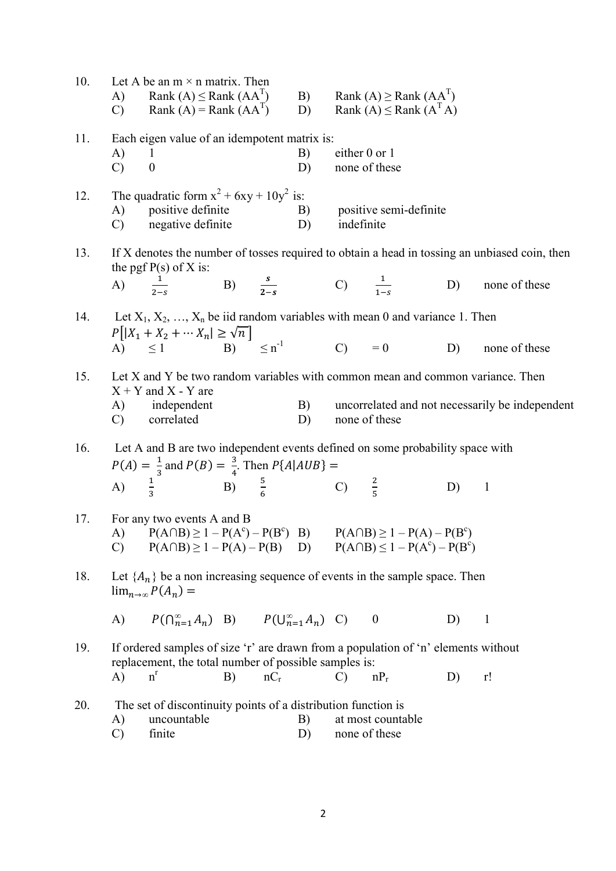| 10. |                                                                                | Let A be an $m \times n$ matrix. Then<br>A) Rank $(A) \leq$ Rank $(AA^{\perp})$<br>C) Rank $(A)$ = Rank $(AAT)$                                        |    |        | D)       |                                | B) Rank $(A) \geq$ Rank $(AA^T)$<br>Rank $(A) \leq$ Rank $(ATA)$               |    |                                                                                               |
|-----|--------------------------------------------------------------------------------|--------------------------------------------------------------------------------------------------------------------------------------------------------|----|--------|----------|--------------------------------|--------------------------------------------------------------------------------|----|-----------------------------------------------------------------------------------------------|
| 11. | A)<br>$\mathbf{C}$                                                             | Each eigen value of an idempotent matrix is:<br>$\perp$<br>$\boldsymbol{0}$                                                                            |    |        | B)<br>D) | either 0 or 1<br>none of these |                                                                                |    |                                                                                               |
| 12. | A)<br>$\mathbf{C}$ )                                                           | The quadratic form $x^2$ + 6xy + 10y <sup>2</sup> is:<br>positive definite<br>negative definite                                                        |    | D)     | B)       | indefinite                     | positive semi-definite                                                         |    |                                                                                               |
| 13. |                                                                                |                                                                                                                                                        |    |        |          |                                |                                                                                |    | If X denotes the number of tosses required to obtain a head in tossing an unbiased coin, then |
|     |                                                                                | the pgf $P(s)$ of X is:<br>A) $\frac{1}{2-s}$ B) $\frac{s}{2-s}$ C) $\frac{1}{1-s}$                                                                    |    |        |          |                                |                                                                                | D) | none of these                                                                                 |
|     |                                                                                | 14. Let $X_1, X_2, , X_n$ be iid random variables with mean 0 and variance 1. Then                                                                     |    |        |          |                                |                                                                                |    |                                                                                               |
|     |                                                                                | $P[ X_1 + X_2 + \cdots X_n  \ge \sqrt{n}]$<br>A) $\le 1$ B) $\le n^{-1}$                                                                               |    |        |          |                                | $(C) = 0$ D)                                                                   |    | none of these                                                                                 |
| 15. | Let X and Y be two random variables with common mean and common variance. Then |                                                                                                                                                        |    |        |          |                                |                                                                                |    |                                                                                               |
|     |                                                                                | $X + Y$ and X - Y are<br>A) independent<br>C) correlated                                                                                               |    |        | B)<br>D) | none of these                  |                                                                                |    | uncorrelated and not necessarily be independent                                               |
| 16. |                                                                                | Let A and B are two independent events defined on some probability space with                                                                          |    |        |          |                                |                                                                                |    |                                                                                               |
|     |                                                                                | $P(A) = \frac{1}{3}$ and $P(B) = \frac{3}{4}$ . Then $P\{A AUB\} =$<br>A) $\frac{1}{3}$ B) $\frac{5}{6}$ C) $\frac{2}{5}$                              |    |        |          |                                |                                                                                | D) | $\mathbf{1}$                                                                                  |
| 17. | $\mathcal{C}$                                                                  | For any two events A and B<br>A) $P(A \cap B) \ge 1 - P(A^{c}) - P(B^{c})$ B) $P(A \cap B) \ge 1 - P(A) - P(B^{c})$                                    |    |        |          |                                | $P(A \cap B) \ge 1 - P(A) - P(B)$ D) $P(A \cap B) \le 1 - P(A^{c}) - P(B^{c})$ |    |                                                                                               |
| 18. |                                                                                | Let $\{A_n\}$ be a non increasing sequence of events in the sample space. Then<br>$\lim_{n\to\infty} P(A_n) =$                                         |    |        |          |                                |                                                                                |    |                                                                                               |
|     | A)                                                                             | $P(\bigcap_{n=1}^{\infty} A_n)$ B) $P(\bigcup_{n=1}^{\infty} A_n)$ C) 0                                                                                |    |        |          |                                |                                                                                | D) | $\mathbf{1}$                                                                                  |
| 19. | A)                                                                             | If ordered samples of size 'r' are drawn from a population of 'n' elements without<br>replacement, the total number of possible samples is:<br>$n^{r}$ | B) | $nC_r$ |          | $\mathcal{C}$                  | $nP_r$                                                                         | D) | r!                                                                                            |
| 20. | A)<br>C)                                                                       | The set of discontinuity points of a distribution function is<br>uncountable<br>finite                                                                 |    |        | B)<br>D) | none of these                  | at most countable                                                              |    |                                                                                               |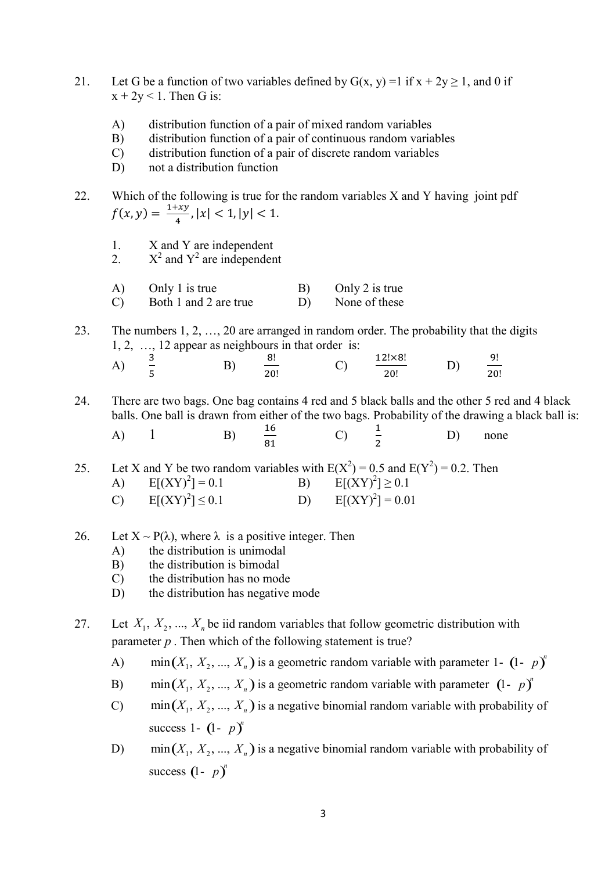- 21. Let G be a function of two variables defined by  $G(x, y) = 1$  if  $x + 2y \ge 1$ , and 0 if  $x + 2y < 1$ . Then G is:
	- A) distribution function of a pair of mixed random variables
	- B) distribution function of a pair of continuous random variables
	- C) distribution function of a pair of discrete random variables
	- D) not a distribution function
- 22. Which of the following is true for the random variables X and Y having joint pdf  $f(x, y) = \frac{1+xy}{4}$  $\frac{y+xy}{4}$ ,  $|x| < 1$ ,  $|y| < 1$ .
	- 1. X and Y are independent
- 2.  $X^2$  and  $Y^2$  are independent
	- A) Only 1 is true B) Only 2 is true
	- C) Both 1 and 2 are true D) None of these
- 23. The numbers 1, 2, …, 20 are arranged in random order. The probability that the digits 1, 2, …, 12 appear as neighbours in that order is: A)  $rac{3}{5}$  B) ଼!  $D)$  $\frac{9!}{20!}$ 
	- 20! C)  $\frac{12! \times 8!}{20!}$

24. There are two bags. One bag contains 4 red and 5 black balls and the other 5 red and 4 black balls. One ball is drawn from either of the two bags. Probability of the drawing a black ball is:

| $\mathbf{A})$ | <u>.</u> | $\sim$ | none<br>D).<br>– |
|---------------|----------|--------|------------------|
|---------------|----------|--------|------------------|

25. Let X and Y be two random variables with  $E(X^2) = 0.5$  and  $E(Y^2) = 0.2$ . Then A)  $E[(XY)^{2}] = 0.1$  $] = 0.1$  B)  $E[(XY)^{2}] \ge 0.1$ C)  $E[(XY)^2] < 0.1$  $]\leq 0.1$  D)  $E[(XY)^{2}] = 0.01$ There are two bags. One bag contains 4 red and 5 black balls and the other 5 red and 4 black<br>balls. One ball is drawn from either of the two bags. Probability of the drawing a black ball is:<br>A) 1 B)  $\frac{16}{91}$  C)  $\frac{1}{2$ Example 1 and a statement of the two bags. Constantly of the tateming a back oan is.<br>
A) 1 B)  $\frac{16}{81}$  C)  $\frac{1}{2}$  D) none<br>
Let X and Y be two random variables with  $E(X^2) = 0.5$  and  $E(Y^2) = 0.2$ . Then<br>
A)  $E[(XY)^2] = 0.1$ Let X and Y be two random variables with  $E(X^2) = 0.5$  and  $E(Y^2) = 0.2$ . Then<br>
A)  $E[(XY)^2] = 0.1$  B)  $E[(XY)^2] \ge 0.1$ <br>
C)  $E[(XY)^2] \le 0.1$  D)  $E[(XY)^2] = 0.01$ <br>
Let  $X \sim P(\lambda)$ , where  $\lambda$  is a positive integer. Then<br>
A) the distribu Let X and Y be two random variables with  $E(X^2) = 0.5$  and  $E(Y^2) = 0.2$ . Then<br>
A)  $E[(XY)^2] = 0.1$  B)  $E[(XY)^2] \ge 0.1$ <br>
C)  $E[(XY)^2] \le 0.1$  D)  $E[(XY)^2] = 0.01$ <br>
Let  $X \sim P(\lambda)$ , where  $\lambda$  is a positive integer. Then<br>
A) the distribu

- 26. Let  $X \sim P(\lambda)$ , where  $\lambda$  is a positive integer. Then
	- A) the distribution is unimodal
	- B) the distribution is bimodal
	- C) the distribution has no mode
	- D) the distribution has negative mode
- 27. Let  $X_1, X_2, ..., X_n$  be iid random variables that follow geometric distribution with parameter  $p$ . Then which of the following statement is true?
	- $\min(X_1, X_2, ..., X_n)$  is a geometric random variable with parameter 1-  $(1-p)^n$
	- $p)^n$
- contains 4 red and 5 black balls and the other 5 red and 4 black<br>
either of the two bags. Probability of the drawing a black ball is:<br>  $\frac{16}{81}$  C)  $\frac{1}{2}$  D) none<br>
zariables with  $E(X^2) = 0.5$  and  $E(Y^2) = 0.2$ . Then<br> Find the two bags. Frotating of the drawing a back ban is.<br>  $\frac{16}{81}$  C)  $\frac{1}{2}$  D) none<br>
arriables with  $E(X^2) = 0.5$  and  $E(Y^2) = 0.2$ . Then<br>
B)  $E[(XY)^2] = 0.01$ <br>
D)  $E[(XY)^2] = 0.01$ <br>
sitive integer. Then<br>
nondal<br>
nonda<br>  $min(X_1, X_2, ..., X_n)$  is a negative binomial random variable with probability of success 1-  $(1-p)^n$
- A)  $E[(XY)^{-}] = 0.1$  B)  $E[(XY)^{-}] \ge 0.1$ <br>
C)  $E[(XY)^{2}] \le 0.1$  D)  $E[(XY)^{2}] = 0.01$ <br>
Let  $X \sim P(\lambda)$ , where  $\lambda$  is a positive integer. Then<br>
A) the distribution is bimodal<br>
C) the distribution has no mode<br>
D) the distribution has no  $min(X_1, X_2, ..., X_n)$  is a negative binomial random variable with probability of Let  $X \sim P(\lambda)$ , where  $\lambda$  is a positive integer. Then<br>
the distribution is bumodal<br>
C) the distribution is bumodal<br>
C) the distribution has no mode<br>
D) the distribution has no mode<br>
Let  $X_1, X_2, ..., X_n$  be iid random variabl  $- p)^n$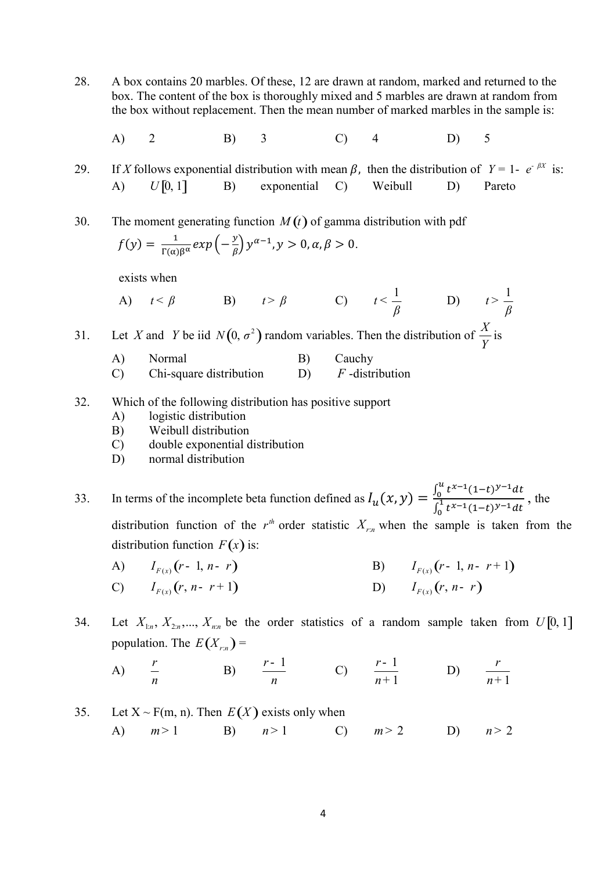- 28. A box contains 20 marbles. Of these, 12 are drawn at random, marked and returned to the box. The content of the box is thoroughly mixed and 5 marbles are drawn at random from the box without replacement. Then the mean number of marked marbles in the sample is: 28. A box contains 20 marbles. Of these, 12 are drawn at random, marked and returned to the box. The content of the box is thoroughly mixed and 5 marbles are drawn at random from the box without replacement. Then the mean
- A) 2 B) 3 C) 4 D) 5

29. If X follows exponential distribution with mean  $\beta$ , then the distribution of  $Y = 1 - e^{-\beta X}$  is: A)  $U[0, 1]$  B) exponential C) Weibull D) Pareto

 $f(y) = \frac{1}{\Gamma(\alpha)\beta^{\alpha}} exp\left(-\frac{y}{\beta}\right)$  $\left(\frac{y}{\beta}\right) y^{\alpha-1}, y > 0, \alpha, \beta > 0.$ 

exists when

A) 
$$
t < \beta
$$
 \t B)  $t > \beta$  \t C)  $t < \frac{1}{\beta}$  \t D)  $t > \frac{1}{\beta}$ 

31. Let X and Y be iid  $N(0, \sigma^2)$  random variables. Then the distribution of  $\frac{X}{Y}$ Y is

- A) Normal B) Cauchy C) Chi-square distribution D)  $F$ -distribution
- 32. Which of the following distribution has positive support
	- A) logistic distribution
	- B) Weibull distribution
	- C) double exponential distribution
	- D) normal distribution

33. In terms of the incomplete beta function defined as  $I_u(x, y) = \frac{\int_0^u t^{x-1} (1-t)^{y-1} dt}{\int_0^1 t^{x-1} (1-t)^{y-1} dt}$ , the బ distribution function of the  $r<sup>th</sup>$  order statistic  $X_{r:n}$  when the sample is taken from the exists when<br>
A)  $t < \beta$  B)  $t > \beta$  C)  $t < \frac{1}{\beta}$  D)  $t > \frac{1}{\beta}$ <br>
Let X and Y be iid  $N(0, \sigma^2)$  random variables. Then the distribution of  $\frac{X}{Y}$  is<br>
A) Normal B) Cauchy<br>
C) Chi-square distribution D) F-distribution<br> A)  $t < \beta$  B)  $t > \beta$  C)  $t < \frac{\pi}{\beta}$  D)  $t > \frac{\pi}{\beta}$ <br>
31. Let X and Y be iid  $N(0, \sigma^2)$  random variables. Then the distribution of  $\frac{X}{Y}$  is<br>
A) Normal B) Cauchy<br>
C) Chi-square distribution D) F -distribution<br>
32. Whic 31. Let X and Y be iid  $N(0, \sigma^2)$  random variables. Then the distribution of  $\frac{X}{Y}$  is<br>
A) Normal B) Cauchy<br>
C) Chi-square distribution D) F -distribution<br>
32. Which of the following distribution has positive support<br> Which of the following distribution has positive support<br>
A) logistic distribution<br>
B) Weibull distribution<br>
C) double exponential distribution<br>
D) normal distribution<br>
D) normal distribution<br>
In terms of the incomplete b 33. In terms of the incomplete beta function defined as  $I_u(x, y) = \frac{\int_0^u t^{x-1} (1-t)^{y-1} dt}{\int_0^1 t^{x-1} (1-t)^{y-1} dt}$ , the<br>distribution function of the  $r^{\omega}$  order statistic  $X_{r,\omega}$  when the sample is taken from the<br>distri

- 
- 34. Let  $X_{1:n}$ ,  $X_{2:n}$ ,...,  $X_{nn}$  be the order statistics of a random sample taken from  $U[0, 1]$
- $A)$   $\frac{r}{r}$ n B)  $\frac{r-1}{r}$ n  $\frac{-1}{\sqrt{C}}$  (C)  $\frac{r-1}{\sqrt{C}}$ 1 r n - + D) 1 r  $n+$
- A)  $m>1$  B)  $n>1$  C)  $m>2$  D)  $n>2$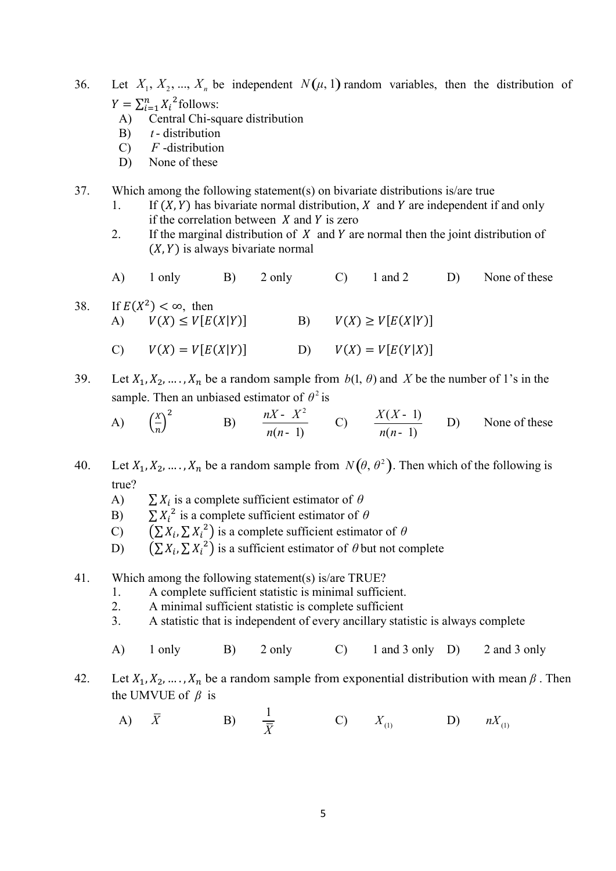- 36. Let  $X_1, X_2, ..., X_n$  be independent  $N(\mu, 1)$  random variables, then the distribution of  $Y = \sum_{i=1}^{n} X_i^2$ follows:<br>A) Central Chi-square distribution B) *t*-distribution C) *F*-distribution  $Y = \sum_{i=1}^{n} X_i^2$ follows:
	- A) Central Chi-square distribution
	- B)  $t$  distribution
	- $C$ )  $F$ -distribution
	- D) None of these

37. Which among the following statement(s) on bivariate distributions is/are true

- 1. If  $(X, Y)$  has bivariate normal distribution, X and Y are independent if and only if the correlation between  $X$  and  $Y$  is zero
- 2. If the marginal distribution of  $X$  and  $Y$  are normal then the joint distribution of  $(X, Y)$  is always bivariate normal
- A) 1 only B) 2 only C) 1 and 2 D) None of these
- 38. If  $E(X^2) < \infty$ , then A)  $V(X) \le V[E(X|Y)]$  B)  $V(X) \ge V[E(X|Y)]$

$$
V(X) = V[E(X|Y)] \qquad \qquad D) \qquad V(X) = V[E(Y|X)]
$$

39. Let  $X_1, X_2, ..., X_n$  be a random sample from  $b(1, \theta)$  and X be the number of 1's in the sample. Then an unbiased estimator of  $\theta^2$  is

A) 
$$
\left(\frac{x}{n}\right)^2
$$
 B)  $\frac{nX - X^2}{n(n-1)}$  C)  $\frac{X(X-1)}{n(n-1)}$  D) None of these

- 40. Let  $X_1, X_2, ..., X_n$  be a random sample from  $N(\theta, \theta^2)$ . Then which of the following is true?
	- A)  $\sum X_i$  is a complete sufficient estimator of  $\theta$
	- B)  $\sum X_i^2$  is a complete sufficient estimator of  $\theta$
	- C)  $(\sum X_i, \sum X_i^2)$  is a complete sufficient estimator of  $\theta$
	- D)  $(\sum X_i, \sum X_i^2)$  is a sufficient estimator of  $\theta$  but not complete

## 41. Which among the following statement(s) is/are TRUE?

- 1. A complete sufficient statistic is minimal sufficient.
- 2. A minimal sufficient statistic is complete sufficient
- 3. A statistic that is independent of every ancillary statistic is always complete
- A) 1 only B) 2 only C) 1 and 3 only D) 2 and 3 only
- 42. Let  $X_1, X_2, ..., X_n$  be a random sample from exponential distribution with mean  $\beta$ . Then the UMVUE of  $\beta$  is
	- A)  $\bar{X}$  B)  $\frac{1}{\bar{X}}$  $\frac{1}{\bar{X}}$  C)  $X_{(1)}$  D)  $nX_{(1)}$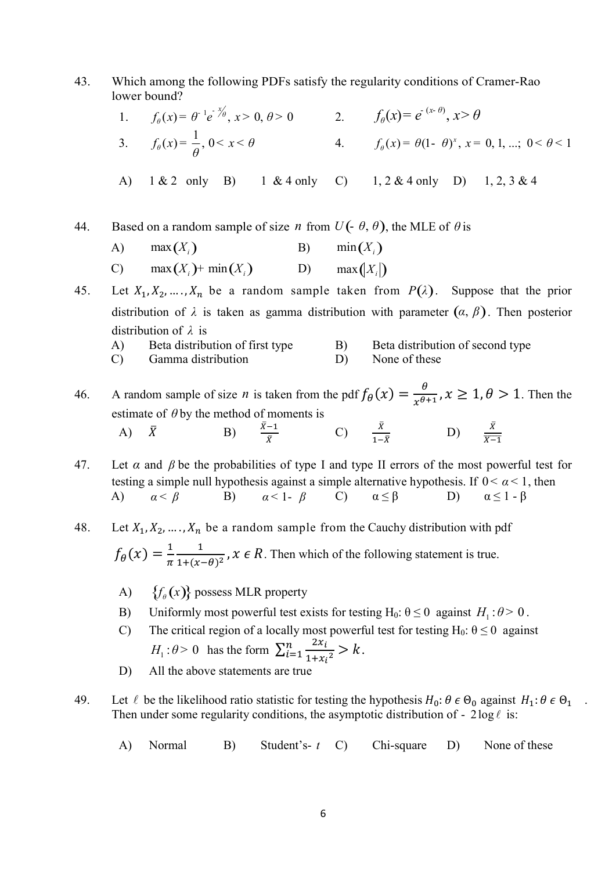43. Which among the following PDFs satisfy the regularity conditions of Cramer-Rao lower bound?

\n- \n 43. Which among the following PDFs satisfy the regularity conditions of Cramer-Rao lower bound?\n
	\n- 1. 
	$$
	f_{\theta}(x) = \theta \cdot e^{-x} \theta
	$$
	,  $x > 0$ ,  $\theta > 0$
	\n- 2.  $f_{\theta}(x) = e^{-(x-\theta)}$ ,  $x > \theta$
	\n- 3.  $f_{\theta}(x) = \frac{1}{\theta}$ ,  $0 < x < \theta$
	\n- 4.  $f_{\theta}(x) = \theta(1 - \theta)^x$ ,  $x = 0, 1, \ldots; 0 < \theta < 1$
	\n\n
\n- \n A) 1 & 2 only B) 1 & 4 only C) 1, 2 & 4 only D) 1, 2, 3 & 4\n
\n- \n 44. Based on a random sample of size *n* from  $U(-\theta, \theta)$ , the MLE of  $\theta$  is\n
	\n- A) max(X, )
	\n- B) min(X, )
	\n- C) max(X, ) + min(X, )
	\n- D) max(Y, )
	\n\n
\n- \n 45. Let  $X_1, X_2, \ldots, X_n$  be a random sample taken from  $P(\lambda)$ . Suppose that the prior distribution of  $\lambda$  is taken as gamma distribution with parameter  $(\alpha, \beta)$ . Then posterior distribution of  $\lambda$  is\n
	\n- A) Beta distribution of first type
	\n- B) Beta distribution of second type
	\n- C) Gamma distribution
	\n- D) None of these
	\n\n
\n

A) 1 & 2 only B) 1 & 4 only C) 1, 2 & 4 only D) 1, 2, 3 & 4

A) 
$$
\max(X_i)
$$
 B)  $\min(X_i)$ 

distribution of λ is

- A) Beta distribution of first type B) Beta distribution of second type
- C) Gamma distribution D) None of these

 $\bar{X}$ 

46. A random sample of size *n* is taken from the pdf  $f_{\theta}(x) = \frac{\theta}{x^{\theta+1}}$  $\frac{\theta}{x^{\theta+1}}$ ,  $x \ge 1$ ,  $\theta > 1$ . Then the estimate of  $\theta$  by the method of moments is A)  $\bar{X}$  B)  $\frac{\bar{X}-1}{\bar{y}}$ C)  $\frac{\bar{X}}{1-\bar{X}}$  D)  $\frac{\bar{X}}{\bar{X}-1}$ 

47. Let  $\alpha$  and  $\beta$  be the probabilities of type I and type II errors of the most powerful test for testing a simple null hypothesis against a simple alternative hypothesis. If  $0 < \alpha < 1$ , then A)  $\alpha < \beta$  B)  $\alpha < 1 - \beta$  C)  $\alpha \le \beta$  D)  $\alpha \le 1 - \beta$  $\alpha$  < 1 -  $\beta$ 

- 48. Let  $X_1, X_2, ..., X_n$  be a random sample from the Cauchy distribution with pdf  $f_{\theta}(x) = \frac{1}{\pi}$  $\pi$  $\mathbf 1$  $\frac{1}{1+(x-\theta)^2}$ ,  $x \in R$ . Then which of the following statement is true. distribution of  $\lambda$  is<br>
A) Beta distribution of first type<br>
B) Beta distribution of second ty<br>
C) Gamma distribution<br>
D) None of these<br>
A random sample of size *n* is taken from the pdf  $f_{\theta}(x) = \frac{\theta}{x^{\theta+1}}$ ,  $x \ge 1$ ,
	-
	- B) Uniformly most powerful test exists for testing H<sub>0</sub>:  $\theta \le 0$  against  $H_1$ :  $\theta > 0$ .
	- C) The critical region of a locally most powerful test for testing H<sub>0</sub>:  $\theta \le 0$  against  $H_1: \theta > 0$  has the form  $\sum_{i=1}^n \frac{2x_i}{1+x_i}$  $\frac{n}{i=1} \frac{2x_i}{1+x_i^2} > k.$ 
		- D) All the above statements are true
- 49. Let  $\ell$  be the likelihood ratio statistic for testing the hypothesis  $H_0: \theta \in \Theta_0$  against  $H_1: \theta \in \Theta_1$ . Then under some regularity conditions, the asymptotic distribution of -  $2\log \ell$  is:
	- A) Normal B) Student's- t C) Chi-square D) None of these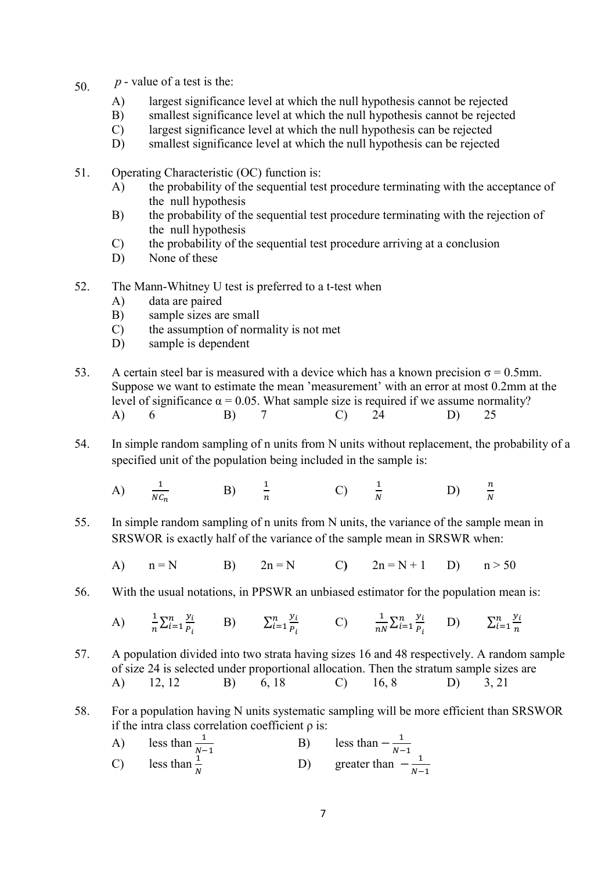- 50.  $p$  value of a test is the:
	- A) largest significance level at which the null hypothesis cannot be rejected
	- B) smallest significance level at which the null hypothesis cannot be rejected
	- C) largest significance level at which the null hypothesis can be rejected
	- D) smallest significance level at which the null hypothesis can be rejected
- 51. Operating Characteristic (OC) function is:
	- A) the probability of the sequential test procedure terminating with the acceptance of the null hypothesis
	- B) the probability of the sequential test procedure terminating with the rejection of the null hypothesis
	- C) the probability of the sequential test procedure arriving at a conclusion
	- D) None of these
- 52. The Mann-Whitney U test is preferred to a t-test when
	- A) data are paired
	- B) sample sizes are small
	- C) the assumption of normality is not met
	- D) sample is dependent
- 53. A certain steel bar is measured with a device which has a known precision  $\sigma = 0.5$ mm. Suppose we want to estimate the mean 'measurement' with an error at most 0.2mm at the level of significance  $\alpha = 0.05$ . What sample size is required if we assume normality? A) 6 B) 7 C) 24 D) 25
- 54. In simple random sampling of n units from N units without replacement, the probability of a specified unit of the population being included in the sample is:
	- A)  $\frac{1}{NC_n}$ B)  $\frac{1}{n}$  C)  $\frac{1}{N}$  D)  $\frac{n}{N}$  $\frac{n}{N}$
- 55. In simple random sampling of n units from N units, the variance of the sample mean in SRSWOR is exactly half of the variance of the sample mean in SRSWR when:
	- A)  $n = N$  B)  $2n = N$  C)  $2n = N + 1$  D)  $n > 50$
- 56. With the usual notations, in PPSWR an unbiased estimator for the population mean is:

A) 
$$
\frac{1}{n}\sum_{i=1}^{n}\frac{y_i}{P_i}
$$
 B)  $\sum_{i=1}^{n}\frac{y_i}{P_i}$  C)  $\frac{1}{nN}\sum_{i=1}^{n}\frac{y_i}{P_i}$  D)  $\sum_{i=1}^{n}\frac{y_i}{n}$ 

- 57. A population divided into two strata having sizes 16 and 48 respectively. A random sample of size 24 is selected under proportional allocation. Then the stratum sample sizes are A) 12, 12 B) 6, 18 C) 16, 8 D) 3, 21
- 58. For a population having N units systematic sampling will be more efficient than SRSWOR if the intra class correlation coefficient  $\rho$  is:
- A) less than  $\frac{1}{N-1}$ <br>C) less than  $\frac{1}{N}$  $\text{B)}$  less than  $-\frac{1}{M}$  $\frac{1}{N-1}$  $D)$  greater than  $-\frac{1}{N}$  $N-1$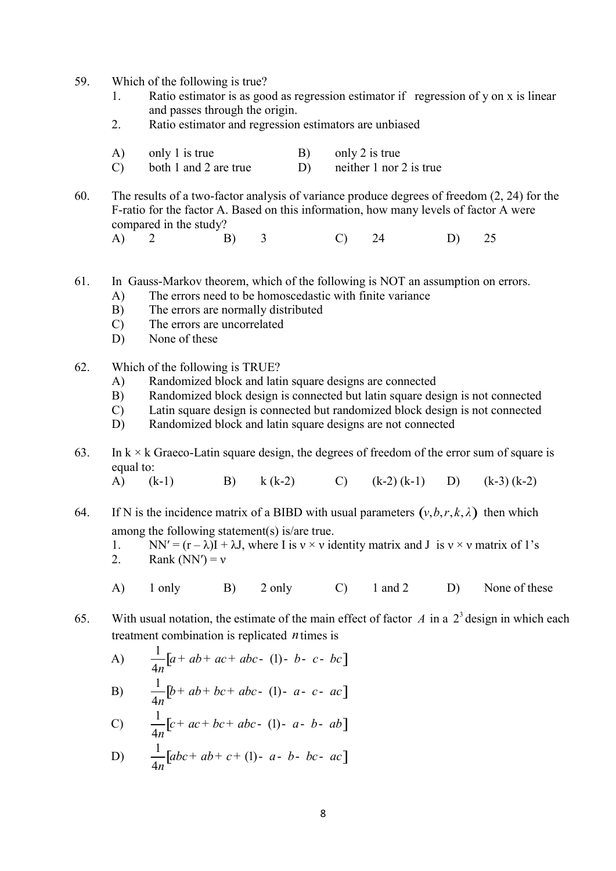- 59. Which of the following is true?
	- 1. Ratio estimator is as good as regression estimator if regression of y on x is linear and passes through the origin.
	- 2. Ratio estimator and regression estimators are unbiased
	- A) only 1 is true B) only 2 is true
	- C) both 1 and 2 are true D) neither 1 nor 2 is true
- 60. The results of a two-factor analysis of variance produce degrees of freedom (2, 24) for the F-ratio for the factor A. Based on this information, how many levels of factor A were compared in the study?
- A) 2 B) 3 C) 24 D) 25
- 61. In Gauss-Markov theorem, which of the following is NOT an assumption on errors.
	- A) The errors need to be homoscedastic with finite variance
	- B) The errors are normally distributed
	- C) The errors are uncorrelated
	- D) None of these
- 62. Which of the following is TRUE?
	- A) Randomized block and latin square designs are connected
	- B) Randomized block design is connected but latin square design is not connected
	- C) Latin square design is connected but randomized block design is not connected
	- D) Randomized block and latin square designs are not connected
- 63. In  $k \times k$  Graeco-Latin square design, the degrees of freedom of the error sum of square is equal to: 61. In Causs-Markov theorem, which of the following is NOT an assumption on errors.<br>
A) The errors need to be homoscedastic with finite variance<br>
B) The errors are uncorrelated<br>
C) The errors are uncorrelated<br>
D) None of

A) (k-1) B) k (k-2) C) (k-2) (k-1) D) (k-3) (k-2)

- among the following statement(s) is/are true.
	- 1. NN' =  $(r \lambda)I + \lambda J$ , where I is  $v \times v$  identity matrix and J is  $v \times v$  matrix of 1's
	- 2. Rank  $(NN') = v$
	- A) 1 only B) 2 only C) 1 and 2 D) None of these
- 65. With usual notation, the estimate of the main effect of factor A in a  $2<sup>3</sup>$  design in which each treatment combination is replicated  $n$  times is

A) 
$$
\frac{1}{4n}[a + ab + ac + abc - (1) - b - c - bc]
$$
  
B)  $\frac{1}{4} [b + ab + bc + abc - (1) - a - c - ac]$ 

C) 
$$
\frac{1}{4n} [c + ac + bc + abc - (1) - a - b - ab]
$$

D) 
$$
\frac{1}{4n}[abc + ab + c + (1) - a - b - bc - ac]
$$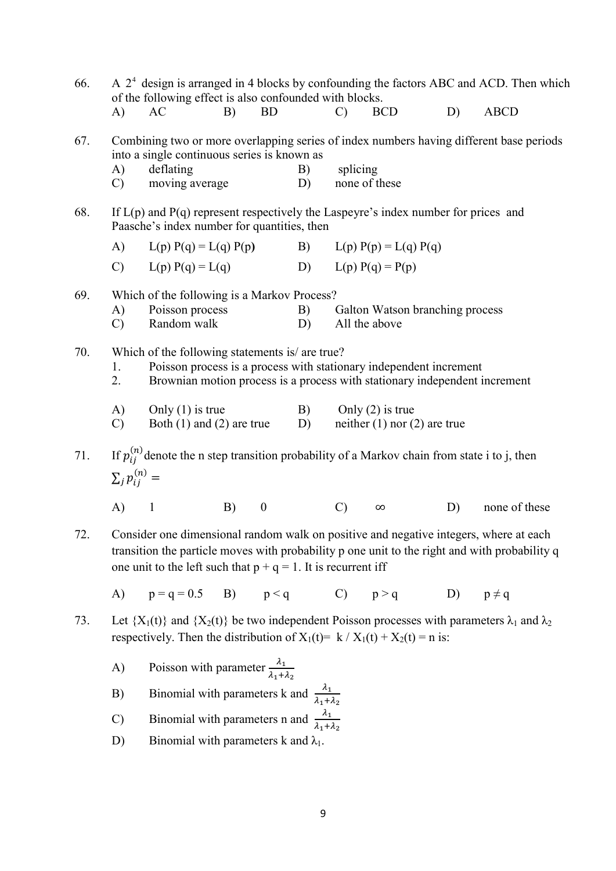| 66. |                                                                                                                                                                                                                                                            | of the following effect is also confounded with blocks.                                                                                                                                             |    |                  |          |               |                                                        |    | A $24$ design is arranged in 4 blocks by confounding the factors ABC and ACD. Then which |
|-----|------------------------------------------------------------------------------------------------------------------------------------------------------------------------------------------------------------------------------------------------------------|-----------------------------------------------------------------------------------------------------------------------------------------------------------------------------------------------------|----|------------------|----------|---------------|--------------------------------------------------------|----|------------------------------------------------------------------------------------------|
|     | A)                                                                                                                                                                                                                                                         | AC                                                                                                                                                                                                  | B) | <b>BD</b>        |          | $\mathcal{C}$ | <b>BCD</b>                                             | D) | <b>ABCD</b>                                                                              |
| 67. | A)<br>$\mathcal{C}$                                                                                                                                                                                                                                        | into a single continuous series is known as<br>deflating<br>moving average                                                                                                                          |    |                  | B)<br>D) | splicing      | none of these                                          |    | Combining two or more overlapping series of index numbers having different base periods  |
| 68. | If $L(p)$ and $P(q)$ represent respectively the Laspeyre's index number for prices and<br>Paasche's index number for quantities, then                                                                                                                      |                                                                                                                                                                                                     |    |                  |          |               |                                                        |    |                                                                                          |
|     | (A)                                                                                                                                                                                                                                                        | $L(p) P(q) = L(q) P(p)$                                                                                                                                                                             |    |                  |          |               | B) $L(p) P(p) = L(q) P(q)$                             |    |                                                                                          |
|     |                                                                                                                                                                                                                                                            | C) $L(p) P(q) = L(q)$                                                                                                                                                                               |    |                  |          |               | D) $L(p) P(q) = P(p)$                                  |    |                                                                                          |
| 69. | A)<br>$\mathcal{C}$                                                                                                                                                                                                                                        | Which of the following is a Markov Process?<br>Poisson process<br>Random walk                                                                                                                       |    |                  | B)<br>D) |               | Galton Watson branching process<br>All the above       |    |                                                                                          |
| 70. | 1.<br>2.                                                                                                                                                                                                                                                   | Which of the following statements is/ are true?<br>Poisson process is a process with stationary independent increment<br>Brownian motion process is a process with stationary independent increment |    |                  |          |               |                                                        |    |                                                                                          |
|     | A)<br>$\mathcal{C}$                                                                                                                                                                                                                                        | Only $(1)$ is true<br>Both $(1)$ and $(2)$ are true                                                                                                                                                 |    |                  | B)<br>D) |               | Only $(2)$ is true<br>neither $(1)$ nor $(2)$ are true |    |                                                                                          |
| 71. | $\sum_{i} p_{ii}^{(n)} =$                                                                                                                                                                                                                                  | If $p_{ij}^{(n)}$ denote the n step transition probability of a Markov chain from state i to j, then                                                                                                |    |                  |          |               |                                                        |    |                                                                                          |
|     | $A)$ 1                                                                                                                                                                                                                                                     |                                                                                                                                                                                                     | B) | $\boldsymbol{0}$ |          | $\mathcal{C}$ | $\infty$                                               | D) | none of these                                                                            |
| 72. | Consider one dimensional random walk on positive and negative integers, where at each<br>transition the particle moves with probability p one unit to the right and with probability q<br>one unit to the left such that $p + q = 1$ . It is recurrent iff |                                                                                                                                                                                                     |    |                  |          |               |                                                        |    |                                                                                          |
|     |                                                                                                                                                                                                                                                            | A) $p = q = 0.5$ B) $p < q$ C) $p > q$                                                                                                                                                              |    |                  |          |               |                                                        |    | D) $p \neq q$                                                                            |
| 73. | Let $\{X_1(t)\}\$ and $\{X_2(t)\}\$ be two independent Poisson processes with parameters $\lambda_1$ and $\lambda_2$<br>respectively. Then the distribution of $X_1(t) = k / X_1(t) + X_2(t) = n$ is:                                                      |                                                                                                                                                                                                     |    |                  |          |               |                                                        |    |                                                                                          |
|     | A)                                                                                                                                                                                                                                                         | Poisson with parameter $\frac{\lambda_1}{\lambda_1 + \lambda_2}$                                                                                                                                    |    |                  |          |               |                                                        |    |                                                                                          |
|     | B)                                                                                                                                                                                                                                                         | Binomial with parameters k and $\frac{\lambda_1}{\lambda_1 + \lambda_2}$                                                                                                                            |    |                  |          |               |                                                        |    |                                                                                          |
|     | $\mathcal{C}$                                                                                                                                                                                                                                              | Binomial with parameters n and $\frac{\lambda_1}{\lambda_1 + \lambda_2}$                                                                                                                            |    |                  |          |               |                                                        |    |                                                                                          |
|     | D)                                                                                                                                                                                                                                                         | Binomial with parameters k and $\lambda_1$ .                                                                                                                                                        |    |                  |          |               |                                                        |    |                                                                                          |
|     |                                                                                                                                                                                                                                                            |                                                                                                                                                                                                     |    |                  |          |               |                                                        |    |                                                                                          |